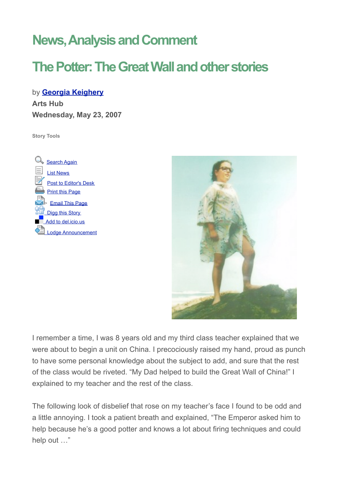## **News, Analysis and Comment**

## **The Potter: The Great Wall and other stories**

by **[Georgia Keighery](http://www.artshub.com.au/au/news.asp?sc=0&sId=159254&sType=feature#contributor) Arts Hub Wednesday, May 23, 2007**

**Story Tools**





I remember a time, I was 8 years old and my third class teacher explained that we were about to begin a unit on China. I precociously raised my hand, proud as punch to have some personal knowledge about the subject to add, and sure that the rest of the class would be riveted. "My Dad helped to build the Great Wall of China!" I explained to my teacher and the rest of the class.

The following look of disbelief that rose on my teacher's face I found to be odd and a little annoying. I took a patient breath and explained, "The Emperor asked him to help because he's a good potter and knows a lot about firing techniques and could help out …"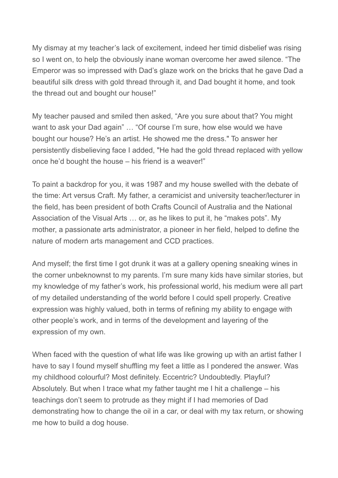My dismay at my teacher's lack of excitement, indeed her timid disbelief was rising so I went on, to help the obviously inane woman overcome her awed silence. "The Emperor was so impressed with Dad's glaze work on the bricks that he gave Dad a beautiful silk dress with gold thread through it, and Dad bought it home, and took the thread out and bought our house!"

My teacher paused and smiled then asked, "Are you sure about that? You might want to ask your Dad again" … "Of course I'm sure, how else would we have bought our house? He's an artist. He showed me the dress." To answer her persistently disbelieving face I added, "He had the gold thread replaced with yellow once he'd bought the house – his friend is a weaver!"

To paint a backdrop for you, it was 1987 and my house swelled with the debate of the time: Art versus Craft. My father, a ceramicist and university teacher/lecturer in the field, has been president of both Crafts Council of Australia and the National Association of the Visual Arts … or, as he likes to put it, he "makes pots". My mother, a passionate arts administrator, a pioneer in her field, helped to define the nature of modern arts management and CCD practices.

And myself; the first time I got drunk it was at a gallery opening sneaking wines in the corner unbeknownst to my parents. I'm sure many kids have similar stories, but my knowledge of my father's work, his professional world, his medium were all part of my detailed understanding of the world before I could spell properly. Creative expression was highly valued, both in terms of refining my ability to engage with other people's work, and in terms of the development and layering of the expression of my own.

When faced with the question of what life was like growing up with an artist father I have to say I found myself shuffling my feet a little as I pondered the answer. Was my childhood colourful? Most definitely. Eccentric? Undoubtedly. Playful? Absolutely. But when I trace what my father taught me I hit a challenge – his teachings don't seem to protrude as they might if I had memories of Dad demonstrating how to change the oil in a car, or deal with my tax return, or showing me how to build a dog house.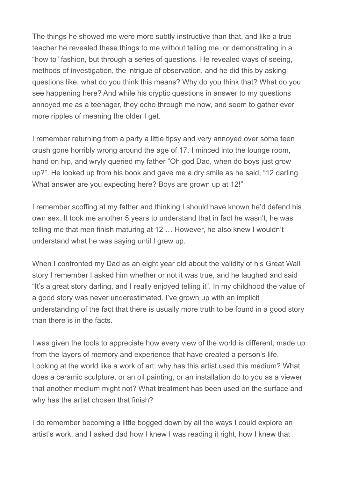The things he showed me were more subtly instructive than that, and like a true teacher he revealed these things to me without telling me, or demonstrating in a "how to" fashion, but through a series of questions. He revealed ways of seeing, methods of investigation, the intrigue of observation, and he did this by asking questions like, what do you think this means? Why do you think that? What do you see happening here? And while his cryptic questions in answer to my questions annoyed me as a teenager, they echo through me now, and seem to gather ever more ripples of meaning the older I get.

I remember returning from a party a little tipsy and very annoyed over some teen crush gone horribly wrong around the age of 17. I minced into the lounge room, hand on hip, and wryly queried my father "Oh god Dad, when do boys just grow up?". He looked up from his book and gave me a dry smile as he said, "12 darling. What answer are you expecting here? Boys are grown up at 12!"

I remember scoffing at my father and thinking I should have known he'd defend his own sex. It took me another 5 years to understand that in fact he wasn't, he was telling me that men finish maturing at 12 … However, he also knew I wouldn't understand what he was saying until I grew up.

When I confronted my Dad as an eight year old about the validity of his Great Wall story I remember I asked him whether or not it was true, and he laughed and said "It's a great story darling, and I really enjoyed telling it". In my childhood the value of a good story was never underestimated. I've grown up with an implicit understanding of the fact that there is usually more truth to be found in a good story than there is in the facts.

I was given the tools to appreciate how every view of the world is different, made up from the layers of memory and experience that have created a person's life. Looking at the world like a work of art: why has this artist used this medium? What does a ceramic sculpture, or an oil painting, or an installation do to you as a viewer that another medium might not? What treatment has been used on the surface and why has the artist chosen that finish?

I do remember becoming a little bogged down by all the ways I could explore an artist's work, and I asked dad how I knew I was reading it right, how I knew that